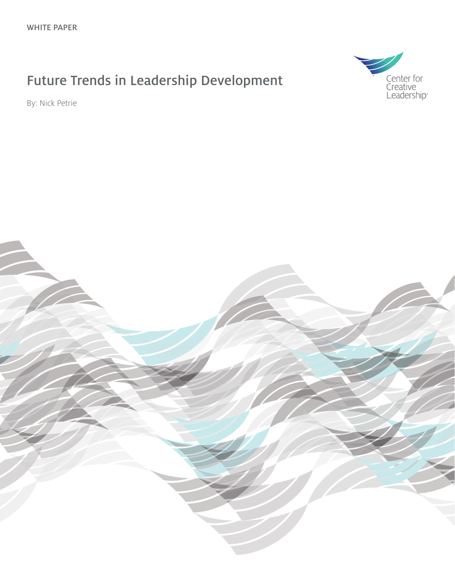### Future Trends in Leadership Development

By: Nick Petrie



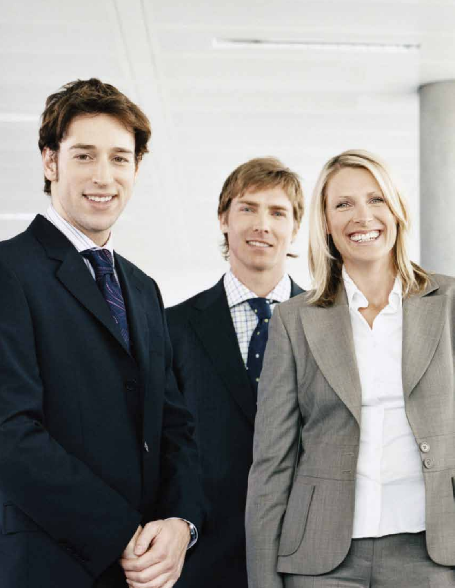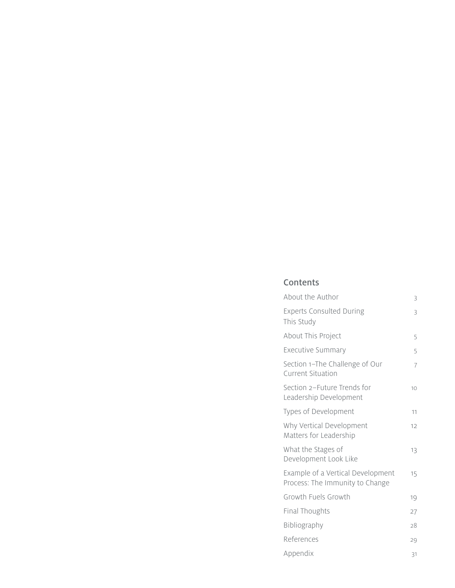#### Contents

| About the Author                                                     | 3  |
|----------------------------------------------------------------------|----|
| <b>Experts Consulted During</b><br>This Study                        | 3  |
| About This Project                                                   | 5  |
| <b>Executive Summary</b>                                             | 5  |
| Section 1-The Challenge of Our<br><b>Current Situation</b>           | 7  |
| Section 2-Future Trends for<br>Leadership Development                | 10 |
| Types of Development                                                 | 11 |
| Why Vertical Development<br>Matters for Leadership                   | 12 |
| What the Stages of<br>Development Look Like                          | 13 |
| Example of a Vertical Development<br>Process: The Immunity to Change | 15 |
| Growth Fuels Growth                                                  | 19 |
| Final Thoughts                                                       | 27 |
| Bibliography                                                         | 28 |
| References                                                           | 29 |
| Appendix                                                             | 31 |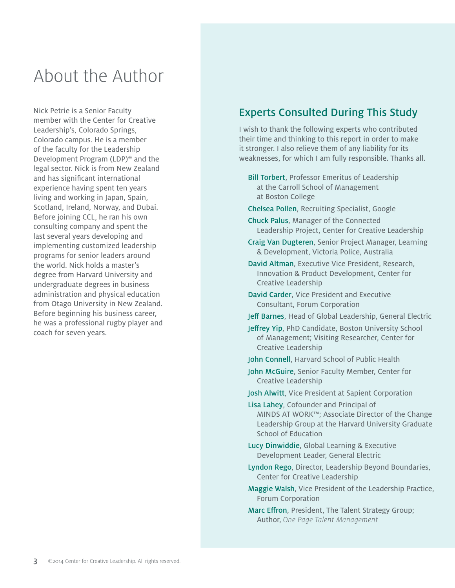# About the Author

Nick Petrie is a Senior Faculty member with the Center for Creative Leadership's, Colorado Springs, Colorado campus. He is a member of the faculty for the Leadership Development Program (LDP)® and the legal sector. Nick is from New Zealand and has significant international experience having spent ten years living and working in Japan, Spain, Scotland, Ireland, Norway, and Dubai. Before joining CCL, he ran his own consulting company and spent the last several years developing and implementing customized leadership programs for senior leaders around the world. Nick holds a master's degree from Harvard University and undergraduate degrees in business administration and physical education from Otago University in New Zealand. Before beginning his business career, he was a professional rugby player and coach for seven years.

### Experts Consulted During This Study

I wish to thank the following experts who contributed their time and thinking to this report in order to make it stronger. I also relieve them of any liability for its weaknesses, for which I am fully responsible. Thanks all.

- Bill Torbert, Professor Emeritus of Leadership at the Carroll School of Management at Boston College
- Chelsea Pollen, Recruiting Specialist, Google
- Chuck Palus, Manager of the Connected Leadership Project, Center for Creative Leadership
- Craig Van Dugteren, Senior Project Manager, Learning & Development, Victoria Police, Australia
- David Altman, Executive Vice President, Research, Innovation & Product Development, Center for Creative Leadership
- David Carder, Vice President and Executive Consultant, Forum Corporation
- Jeff Barnes, Head of Global Leadership, General Electric
- Jeffrey Yip, PhD Candidate, Boston University School of Management; Visiting Researcher, Center for Creative Leadership
- John Connell, Harvard School of Public Health
- John McGuire, Senior Faculty Member, Center for Creative Leadership
- Josh Alwitt, Vice President at Sapient Corporation
- Lisa Lahey, Cofounder and Principal of MINDS AT WORK™; Associate Director of the Change Leadership Group at the Harvard University Graduate School of Education
- Lucy Dinwiddie, Global Learning & Executive Development Leader, General Electric
- Lyndon Rego, Director, Leadership Beyond Boundaries, Center for Creative Leadership
- Maggie Walsh, Vice President of the Leadership Practice, Forum Corporation
- Marc Effron, President, The Talent Strategy Group; Author, *One Page Talent Management*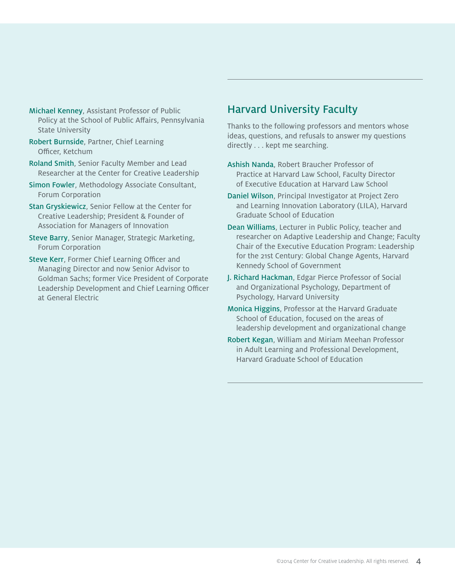- Michael Kenney, Assistant Professor of Public Policy at the School of Public Affairs, Pennsylvania State University
- Robert Burnside, Partner, Chief Learning Officer, Ketchum
- Roland Smith, Senior Faculty Member and Lead Researcher at the Center for Creative Leadership
- Simon Fowler, Methodology Associate Consultant, Forum Corporation
- Stan Gryskiewicz, Senior Fellow at the Center for Creative Leadership; President & Founder of Association for Managers of Innovation
- Steve Barry, Senior Manager, Strategic Marketing, Forum Corporation
- Steve Kerr, Former Chief Learning Officer and Managing Director and now Senior Advisor to Goldman Sachs; former Vice President of Corporate Leadership Development and Chief Learning Officer at General Electric

#### Harvard University Faculty

Thanks to the following professors and mentors whose ideas, questions, and refusals to answer my questions directly . . . kept me searching.

- Ashish Nanda, Robert Braucher Professor of Practice at Harvard Law School, Faculty Director of Executive Education at Harvard Law School
- Daniel Wilson, Principal Investigator at Project Zero and Learning Innovation Laboratory (LILA), Harvard Graduate School of Education
- Dean Williams, Lecturer in Public Policy, teacher and researcher on Adaptive Leadership and Change; Faculty Chair of the Executive Education Program: Leadership for the 21st Century: Global Change Agents, Harvard Kennedy School of Government
- J. Richard Hackman, Edgar Pierce Professor of Social and Organizational Psychology, Department of Psychology, Harvard University
- Monica Higgins, Professor at the Harvard Graduate School of Education, focused on the areas of leadership development and organizational change
- Robert Kegan, William and Miriam Meehan Professor in Adult Learning and Professional Development, Harvard Graduate School of Education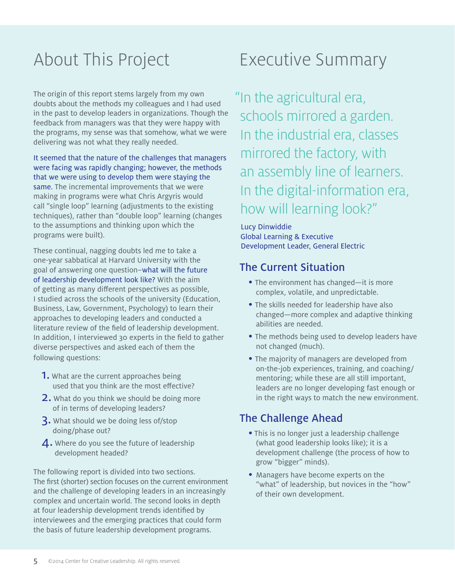# About This Project

The origin of this report stems largely from my own doubts about the methods my colleagues and I had used in the past to develop leaders in organizations. Though the feedback from managers was that they were happy with the programs, my sense was that somehow, what we were delivering was not what they really needed.

It seemed that the nature of the challenges that managers were facing was rapidly changing; however, the methods that we were using to develop them were staying the same. The incremental improvements that we were making in programs were what Chris Argyris would call "single loop" learning (adjustments to the existing techniques), rather than "double loop" learning (changes to the assumptions and thinking upon which the programs were built).

These continual, nagging doubts led me to take a one-year sabbatical at Harvard University with the goal of answering one question–what will the future of leadership development look like? With the aim of getting as many different perspectives as possible, I studied across the schools of the university (Education, Business, Law, Government, Psychology) to learn their approaches to developing leaders and conducted a literature review of the field of leadership development. In addition, I interviewed 30 experts in the field to gather diverse perspectives and asked each of them the following questions:

- **1.** What are the current approaches being used that you think are the most effective?
- 2. What do you think we should be doing more of in terms of developing leaders?
- 3. What should we be doing less of/stop doing/phase out?
- $\boldsymbol{4}$ . Where do you see the future of leadership development headed?

The following report is divided into two sections. The first (shorter) section focuses on the current environment and the challenge of developing leaders in an increasingly complex and uncertain world. The second looks in depth at four leadership development trends identified by interviewees and the emerging practices that could form the basis of future leadership development programs.

# Executive Summary

"In the agricultural era, schools mirrored a garden. In the industrial era, classes mirrored the factory, with an assembly line of learners. In the digital-information era, how will learning look?"

Lucy Dinwiddie Global Learning & Executive Development Leader, General Electric

### The Current Situation

- The environment has changed—it is more complex, volatile, and unpredictable.
- The skills needed for leadership have also changed—more complex and adaptive thinking abilities are needed.
- The methods being used to develop leaders have not changed (much).
- The majority of managers are developed from on-the-job experiences, training, and coaching/ mentoring; while these are all still important, leaders are no longer developing fast enough or in the right ways to match the new environment.

### The Challenge Ahead

- This is no longer just a leadership challenge (what good leadership looks like); it is a development challenge (the process of how to grow "bigger" minds).
- Managers have become experts on the "what" of leadership, but novices in the "how" of their own development.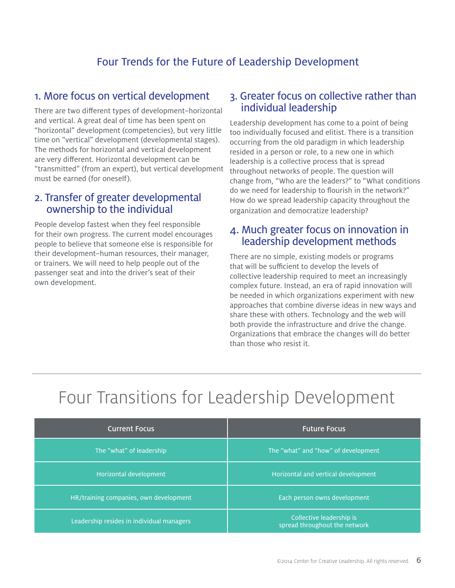### Four Trends for the Future of Leadership Development

#### 1. More focus on vertical development

There are two different types of development–horizontal and vertical. A great deal of time has been spent on "horizontal" development (competencies), but very little time on "vertical" development (developmental stages). The methods for horizontal and vertical development are very different. Horizontal development can be "transmitted" (from an expert), but vertical development must be earned (for oneself).

#### 2. Transfer of greater developmental ownership to the individual

People develop fastest when they feel responsible for their own progress. The current model encourages people to believe that someone else is responsible for their development–human resources, their manager, or trainers. We will need to help people out of the passenger seat and into the driver's seat of their own development.

#### 3. Greater focus on collective rather than individual leadership

Leadership development has come to a point of being too individually focused and elitist. There is a transition occurring from the old paradigm in which leadership resided in a person or role, to a new one in which leadership is a collective process that is spread throughout networks of people. The question will change from, "Who are the leaders?" to "What conditions do we need for leadership to flourish in the network?" How do we spread leadership capacity throughout the organization and democratize leadership?

#### 4. Much greater focus on innovation in leadership development methods

There are no simple, existing models or programs that will be sufficient to develop the levels of collective leadership required to meet an increasingly complex future. Instead, an era of rapid innovation will be needed in which organizations experiment with new approaches that combine diverse ideas in new ways and share these with others. Technology and the web will both provide the infrastructure and drive the change. Organizations that embrace the changes will do better than those who resist it.

## Four Transitions for Leadership Development

| <b>Current Focus</b>                      | <b>Future Focus</b>                                       |
|-------------------------------------------|-----------------------------------------------------------|
| The "what" of leadership                  | The "what" and "how" of development                       |
| Horizontal development                    | Horizontal and vertical development                       |
| HR/training companies, own development    | Each person owns development                              |
| Leadership resides in individual managers | Collective leadership is<br>spread throughout the network |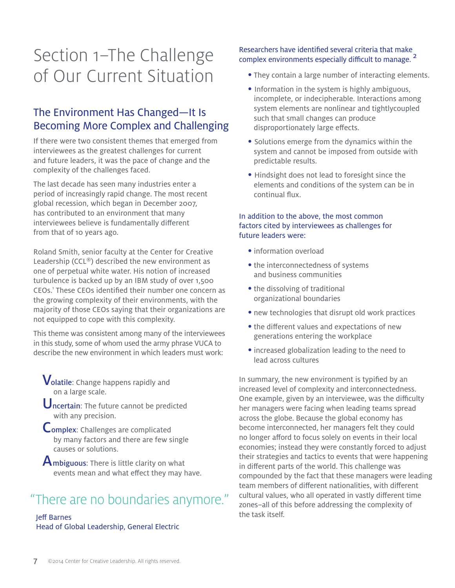## Section 1–The Challenge of Our Current Situation

### The Environment Has Changed—It Is Becoming More Complex and Challenging

If there were two consistent themes that emerged from interviewees as the greatest challenges for current and future leaders, it was the pace of change and the complexity of the challenges faced.

The last decade has seen many industries enter a period of increasingly rapid change. The most recent global recession, which began in December 2007, has contributed to an environment that many interviewees believe is fundamentally different from that of 10 years ago.

Roland Smith, senior faculty at the Center for Creative Leadership (CCL®) described the new environment as one of perpetual white water. His notion of increased turbulence is backed up by an IBM study of over 1,500 CEOs.<sup>1</sup> These CEOs identified their number one concern as the growing complexity of their environments, with the majority of those CEOs saying that their organizations are not equipped to cope with this complexity.

This theme was consistent among many of the interviewees in this study, some of whom used the army phrase VUCA to describe the new environment in which leaders must work:

 $\mathsf{V}_\mathsf{olatile:}$  Change happens rapidly and on a large scale.

Uncertain: The future cannot be predicted with any precision.

**Complex:** Challenges are complicated by many factors and there are few single causes or solutions.

 ${\mathbf A}$ mbiguous: There is little clarity on what events mean and what effect they may have.

### "There are no boundaries anymore."

#### Jeff Barnes Head of Global Leadership, General Electric

#### Researchers have identified several criteria that make complex environments especially difficult to manage.<sup>2</sup>

- They contain a large number of interacting elements.
- Information in the system is highly ambiguous, incomplete, or indecipherable. Interactions among system elements are nonlinear and tightlycoupled such that small changes can produce disproportionately large effects.
- Solutions emerge from the dynamics within the system and cannot be imposed from outside with predictable results.
- Hindsight does not lead to foresight since the elements and conditions of the system can be in continual flux.

#### In addition to the above, the most common factors cited by interviewees as challenges for future leaders were:

- information overload
- the interconnectedness of systems and business communities
- the dissolving of traditional organizational boundaries
- new technologies that disrupt old work practices
- the different values and expectations of new generations entering the workplace
- increased globalization leading to the need to lead across cultures

In summary, the new environment is typified by an increased level of complexity and interconnectedness. One example, given by an interviewee, was the difficulty her managers were facing when leading teams spread across the globe. Because the global economy has become interconnected, her managers felt they could no longer afford to focus solely on events in their local economies; instead they were constantly forced to adjust their strategies and tactics to events that were happening in different parts of the world. This challenge was compounded by the fact that these managers were leading team members of different nationalities, with different cultural values, who all operated in vastly different time zones–all of this before addressing the complexity of the task itself.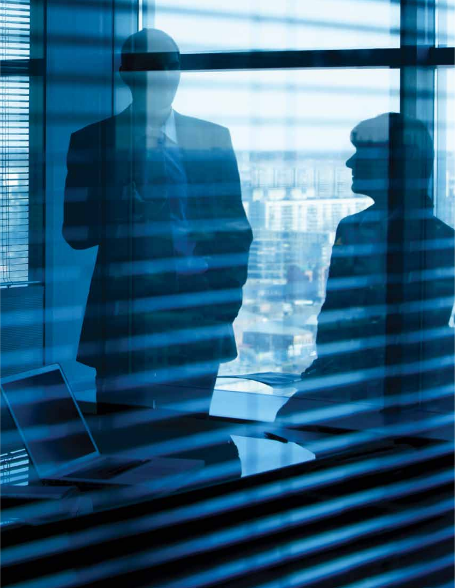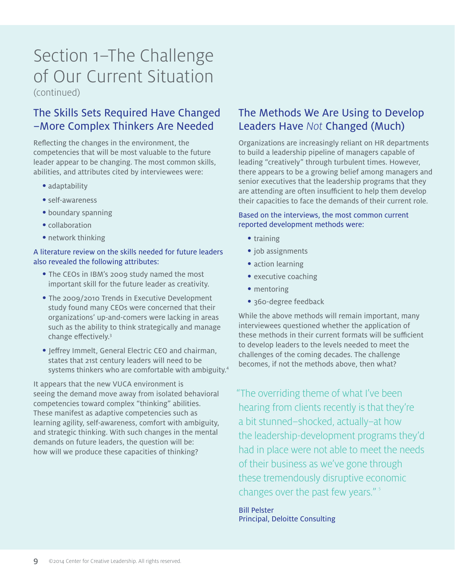# Section 1–The Challenge of Our Current Situation

(continued)

### The Skills Sets Required Have Changed –More Complex Thinkers Are Needed

Reflecting the changes in the environment, the competencies that will be most valuable to the future leader appear to be changing. The most common skills, abilities, and attributes cited by interviewees were:

- adaptability
- self-awareness
- boundary spanning
- collaboration
- network thinking

A literature review on the skills needed for future leaders also revealed the following attributes:

- The CEOs in IBM's 2009 study named the most important skill for the future leader as creativity.
- The 2009/2010 Trends in Executive Development study found many CEOs were concerned that their organizations' up-and-comers were lacking in areas such as the ability to think strategically and manage change effectively.3
- Jeffrey Immelt, General Electric CEO and chairman, states that 21st century leaders will need to be systems thinkers who are comfortable with ambiguity.<sup>4</sup>

It appears that the new VUCA environment is seeing the demand move away from isolated behavioral competencies toward complex "thinking" abilities. These manifest as adaptive competencies such as learning agility, self-awareness, comfort with ambiguity, and strategic thinking. With such changes in the mental demands on future leaders, the question will be: how will we produce these capacities of thinking?

### The Methods We Are Using to Develop Leaders Have *Not* Changed (Much)

Organizations are increasingly reliant on HR departments to build a leadership pipeline of managers capable of leading "creatively" through turbulent times. However, there appears to be a growing belief among managers and senior executives that the leadership programs that they are attending are often insufficient to help them develop their capacities to face the demands of their current role.

#### Based on the interviews, the most common current reported development methods were:

- training
- job assignments
- action learning
- executive coaching
- mentoring
- 360-degree feedback

While the above methods will remain important, many interviewees questioned whether the application of these methods in their current formats will be sufficient to develop leaders to the levels needed to meet the challenges of the coming decades. The challenge becomes, if not the methods above, then what?

"The overriding theme of what I've been hearing from clients recently is that they're a bit stunned–shocked, actually–at how the leadership-development programs they'd had in place were not able to meet the needs of their business as we've gone through these tremendously disruptive economic changes over the past few years."<sup>5</sup>

Bill Pelster Principal, Deloitte Consulting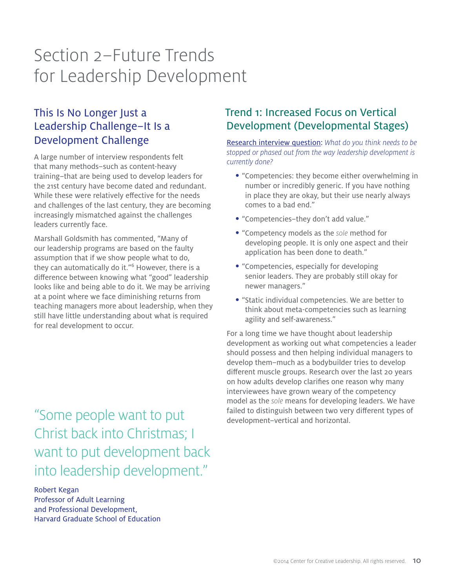### Section 2–Future Trends for Leadership Development

### This Is No Longer Just a Leadership Challenge–It Is a Development Challenge

A large number of interview respondents felt that many methods–such as content-heavy training–that are being used to develop leaders for the 21st century have become dated and redundant. While these were relatively effective for the needs and challenges of the last century, they are becoming increasingly mismatched against the challenges leaders currently face.

Marshall Goldsmith has commented, "Many of our leadership programs are based on the faulty assumption that if we show people what to do, they can automatically do it."<sup>6</sup> However, there is a difference between knowing what "good" leadership looks like and being able to do it. We may be arriving at a point where we face diminishing returns from teaching managers more about leadership, when they still have little understanding about what is required for real development to occur.

#### Trend 1: Increased Focus on Vertical Development (Developmental Stages)

Research interview question: *What do you think needs to be stopped or phased out from the way leadership development is currently done?*

- "Competencies: they become either overwhelming in number or incredibly generic. If you have nothing in place they are okay, but their use nearly always comes to a bad end."
- "Competencies–they don't add value."
- "Competency models as the *sole* method for developing people. It is only one aspect and their application has been done to death."
- "Competencies, especially for developing senior leaders. They are probably still okay for newer managers."
- "Static individual competencies. We are better to think about meta-competencies such as learning agility and self-awareness."

For a long time we have thought about leadership development as working out what competencies a leader should possess and then helping individual managers to develop them–much as a bodybuilder tries to develop different muscle groups. Research over the last 20 years on how adults develop clarifies one reason why many interviewees have grown weary of the competency model as the *sole* means for developing leaders. We have failed to distinguish between two very different types of development–vertical and horizontal.

### "Some people want to put Christ back into Christmas; I want to put development back into leadership development."

Robert Kegan Professor of Adult Learning and Professional Development, Harvard Graduate School of Education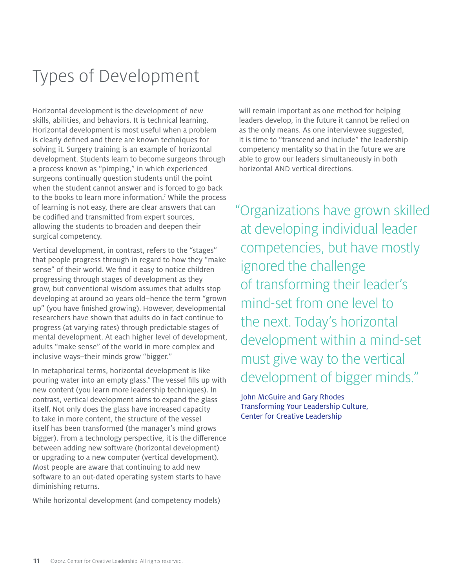# Types of Development

Horizontal development is the development of new skills, abilities, and behaviors. It is technical learning. Horizontal development is most useful when a problem is clearly defined and there are known techniques for solving it. Surgery training is an example of horizontal development. Students learn to become surgeons through a process known as "pimping," in which experienced surgeons continually question students until the point when the student cannot answer and is forced to go back to the books to learn more information.<sup>7</sup> While the process of learning is not easy, there are clear answers that can be codified and transmitted from expert sources, allowing the students to broaden and deepen their surgical competency.

Vertical development, in contrast, refers to the "stages" that people progress through in regard to how they "make sense" of their world. We find it easy to notice children progressing through stages of development as they grow, but conventional wisdom assumes that adults stop developing at around 20 years old–hence the term "grown up" (you have finished growing). However, developmental researchers have shown that adults do in fact continue to progress (at varying rates) through predictable stages of mental development. At each higher level of development, adults "make sense" of the world in more complex and inclusive ways–their minds grow "bigger."

In metaphorical terms, horizontal development is like pouring water into an empty glass.<sup>8</sup> The vessel fills up with new content (you learn more leadership techniques). In contrast, vertical development aims to expand the glass itself. Not only does the glass have increased capacity to take in more content, the structure of the vessel itself has been transformed (the manager's mind grows bigger). From a technology perspective, it is the difference between adding new software (horizontal development) or upgrading to a new computer (vertical development). Most people are aware that continuing to add new software to an out-dated operating system starts to have diminishing returns.

While horizontal development (and competency models)

will remain important as one method for helping leaders develop, in the future it cannot be relied on as the only means. As one interviewee suggested, it is time to "transcend and include" the leadership competency mentality so that in the future we are able to grow our leaders simultaneously in both horizontal AND vertical directions.

"Organizations have grown skilled at developing individual leader competencies, but have mostly ignored the challenge of transforming their leader's mind-set from one level to the next. Today's horizontal development within a mind-set must give way to the vertical development of bigger minds."

John McGuire and Gary Rhodes Transforming Your Leadership Culture, Center for Creative Leadership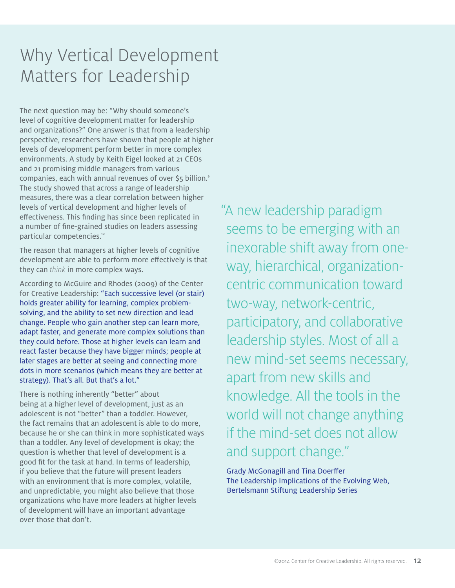## Why Vertical Development Matters for Leadership

The next question may be: "Why should someone's level of cognitive development matter for leadership and organizations?" One answer is that from a leadership perspective, researchers have shown that people at higher levels of development perform better in more complex environments. A study by Keith Eigel looked at 21 CEOs and 21 promising middle managers from various companies, each with annual revenues of over \$5 billion.<sup>9</sup> The study showed that across a range of leadership measures, there was a clear correlation between higher levels of vertical development and higher levels of effectiveness. This finding has since been replicated in a number of fine-grained studies on leaders assessing particular competencies.<sup>10</sup>

The reason that managers at higher levels of cognitive development are able to perform more effectively is that they can *think* in more complex ways.

According to McGuire and Rhodes (2009) of the Center for Creative Leadership: "Each successive level (or stair) holds greater ability for learning, complex problemsolving, and the ability to set new direction and lead change. People who gain another step can learn more, adapt faster, and generate more complex solutions than they could before. Those at higher levels can learn and react faster because they have bigger minds; people at later stages are better at seeing and connecting more dots in more scenarios (which means they are better at strategy). That's all. But that's a lot."

There is nothing inherently "better" about being at a higher level of development, just as an adolescent is not "better" than a toddler. However, the fact remains that an adolescent is able to do more, because he or she can think in more sophisticated ways than a toddler. Any level of development is okay; the question is whether that level of development is a good fit for the task at hand. In terms of leadership, if you believe that the future will present leaders with an environment that is more complex, volatile, and unpredictable, you might also believe that those organizations who have more leaders at higher levels of development will have an important advantage over those that don't.

"A new leadership paradigm seems to be emerging with an inexorable shift away from oneway, hierarchical, organizationcentric communication toward two-way, network-centric, participatory, and collaborative leadership styles. Most of all a new mind-set seems necessary, apart from new skills and knowledge. All the tools in the world will not change anything if the mind-set does not allow and support change."

Grady McGonagill and Tina Doerffer The Leadership Implications of the Evolving Web, Bertelsmann Stiftung Leadership Series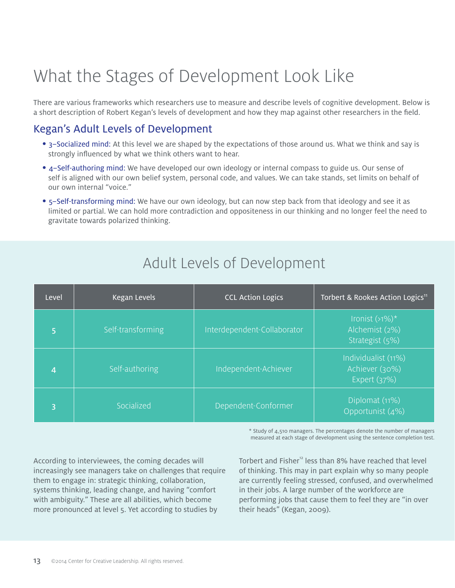# What the Stages of Development Look Like

There are various frameworks which researchers use to measure and describe levels of cognitive development. Below is a short description of Robert Kegan's levels of development and how they map against other researchers in the field.

#### Kegan's Adult Levels of Development

- 3–Socialized mind: At this level we are shaped by the expectations of those around us. What we think and say is strongly influenced by what we think others want to hear.
- 4–Self-authoring mind: We have developed our own ideology or internal compass to guide us. Our sense of self is aligned with our own belief system, personal code, and values. We can take stands, set limits on behalf of our own internal "voice."
- 5–Self-transforming mind: We have our own ideology, but can now step back from that ideology and see it as limited or partial. We can hold more contradiction and oppositeness in our thinking and no longer feel the need to gravitate towards polarized thinking.

| Level | Kegan Levels      | <b>CCL Action Logics</b>    | Torbert & Rookes Action Logics <sup>11</sup>            |
|-------|-------------------|-----------------------------|---------------------------------------------------------|
| 5     | Self-transforming | Interdependent-Collaborator | Ironist $(21%)^*$<br>Alchemist (2%)<br>Strategist (5%)  |
| 4     | Self-authoring    | Independent-Achiever        | Individualist (11%)<br>Achiever (30%)<br>Expert $(37%)$ |
| 3     | Socialized        | Dependent-Conformer         | Diplomat (11%)<br>Opportunist (4%)                      |

### Adult Levels of Development

\* Study of 4,510 managers. The percentages denote the number of managers measured at each stage of development using the sentence completion test.

According to interviewees, the coming decades will increasingly see managers take on challenges that require them to engage in: strategic thinking, collaboration, systems thinking, leading change, and having "comfort with ambiguity." These are all abilities, which become more pronounced at level 5. Yet according to studies by

Torbert and Fisher<sup>12</sup> less than 8% have reached that level of thinking. This may in part explain why so many people are currently feeling stressed, confused, and overwhelmed in their jobs. A large number of the workforce are performing jobs that cause them to feel they are "in over their heads" (Kegan, 2009).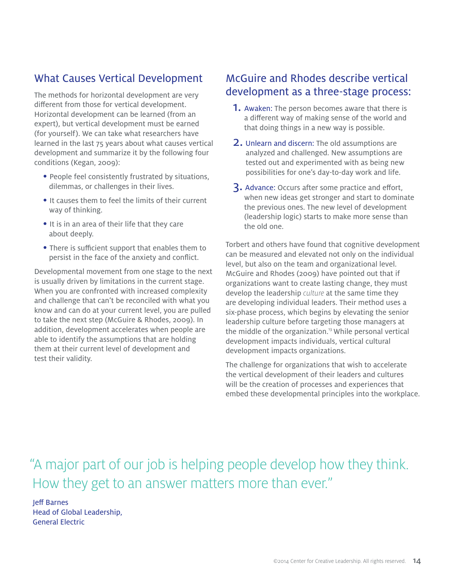#### What Causes Vertical Development

The methods for horizontal development are very different from those for vertical development. Horizontal development can be learned (from an expert), but vertical development must be earned (for yourself). We can take what researchers have learned in the last 75 years about what causes vertical development and summarize it by the following four conditions (Kegan, 2009):

- People feel consistently frustrated by situations, dilemmas, or challenges in their lives.
- It causes them to feel the limits of their current way of thinking.
- It is in an area of their life that they care about deeply.
- There is sufficient support that enables them to persist in the face of the anxiety and conflict.

Developmental movement from one stage to the next is usually driven by limitations in the current stage. When you are confronted with increased complexity and challenge that can't be reconciled with what you know and can do at your current level, you are pulled to take the next step (McGuire & Rhodes, 2009). In addition, development accelerates when people are able to identify the assumptions that are holding them at their current level of development and test their validity.

#### McGuire and Rhodes describe vertical development as a three-stage process:

- **1.** Awaken: The person becomes aware that there is a different way of making sense of the world and that doing things in a new way is possible.
- 2. Unlearn and discern: The old assumptions are analyzed and challenged. New assumptions are tested out and experimented with as being new possibilities for one's day-to-day work and life.
- 3. Advance: Occurs after some practice and effort, when new ideas get stronger and start to dominate the previous ones. The new level of development (leadership logic) starts to make more sense than the old one.

Torbert and others have found that cognitive development can be measured and elevated not only on the individual level, but also on the team and organizational level. McGuire and Rhodes (2009) have pointed out that if organizations want to create lasting change, they must develop the leadership *culture* at the same time they are developing individual leaders. Their method uses a six-phase process, which begins by elevating the senior leadership culture before targeting those managers at the middle of the organization.<sup>13</sup> While personal vertical development impacts individuals, vertical cultural development impacts organizations.

The challenge for organizations that wish to accelerate the vertical development of their leaders and cultures will be the creation of processes and experiences that embed these developmental principles into the workplace.

"A major part of our job is helping people develop how they think. How they get to an answer matters more than ever."

Jeff Barnes Head of Global Leadership, General Electric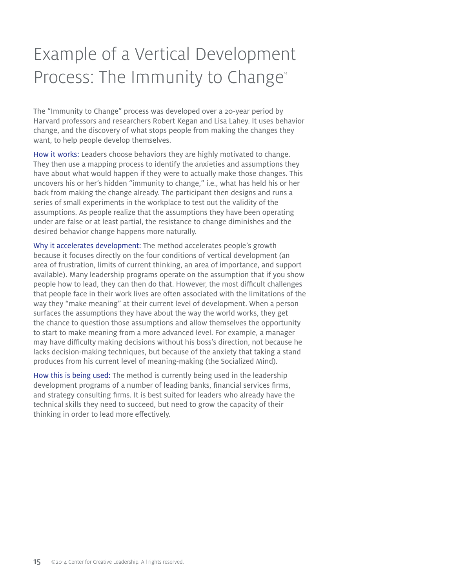# Example of a Vertical Development Process: The Immunity to Change<sup>4</sup>

The "Immunity to Change" process was developed over a 20-year period by Harvard professors and researchers Robert Kegan and Lisa Lahey. It uses behavior change, and the discovery of what stops people from making the changes they want, to help people develop themselves.

How it works: Leaders choose behaviors they are highly motivated to change. They then use a mapping process to identify the anxieties and assumptions they have about what would happen if they were to actually make those changes. This uncovers his or her's hidden "immunity to change," i.e., what has held his or her back from making the change already. The participant then designs and runs a series of small experiments in the workplace to test out the validity of the assumptions. As people realize that the assumptions they have been operating under are false or at least partial, the resistance to change diminishes and the desired behavior change happens more naturally.

Why it accelerates development: The method accelerates people's growth because it focuses directly on the four conditions of vertical development (an area of frustration, limits of current thinking, an area of importance, and support available). Many leadership programs operate on the assumption that if you show people how to lead, they can then do that. However, the most difficult challenges that people face in their work lives are often associated with the limitations of the way they "make meaning" at their current level of development. When a person surfaces the assumptions they have about the way the world works, they get the chance to question those assumptions and allow themselves the opportunity to start to make meaning from a more advanced level. For example, a manager may have difficulty making decisions without his boss's direction, not because he lacks decision-making techniques, but because of the anxiety that taking a stand produces from his current level of meaning-making (the Socialized Mind).

How this is being used: The method is currently being used in the leadership development programs of a number of leading banks, financial services firms, and strategy consulting firms. It is best suited for leaders who already have the technical skills they need to succeed, but need to grow the capacity of their thinking in order to lead more effectively.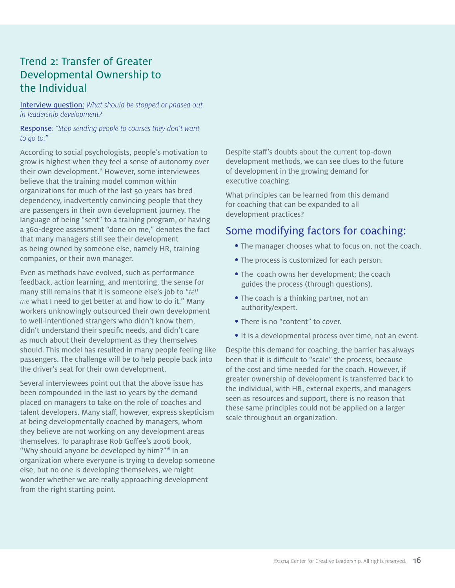### Trend 2: Transfer of Greater Developmental Ownership to the Individual

Interview question: *What should be stopped or phased out in leadership development?*

Response*: "Stop sending people to courses they don't want to go to."*

According to social psychologists, people's motivation to grow is highest when they feel a sense of autonomy over their own development.<sup>15</sup> However, some interviewees believe that the training model common within organizations for much of the last 50 years has bred dependency, inadvertently convincing people that they are passengers in their own development journey. The language of being "sent" to a training program, or having a 360-degree assessment "done on me," denotes the fact that many managers still see their development as being owned by someone else, namely HR, training companies, or their own manager.

Even as methods have evolved, such as performance feedback, action learning, and mentoring, the sense for many still remains that it is someone else's job to "*tell me* what I need to get better at and how to do it." Many workers unknowingly outsourced their own development to well-intentioned strangers who didn't know them, didn't understand their specific needs, and didn't care as much about their development as they themselves should. This model has resulted in many people feeling like passengers. The challenge will be to help people back into the driver's seat for their own development.

Several interviewees point out that the above issue has been compounded in the last 10 years by the demand placed on managers to take on the role of coaches and talent developers. Many staff, however, express skepticism at being developmentally coached by managers, whom they believe are not working on any development areas themselves. To paraphrase Rob Goffee's 2006 book, "Why should anyone be developed by him?"<sup>6</sup> In an organization where everyone is trying to develop someone else, but no one is developing themselves, we might wonder whether we are really approaching development from the right starting point.

Despite staff's doubts about the current top-down development methods, we can see clues to the future of development in the growing demand for executive coaching.

What principles can be learned from this demand for coaching that can be expanded to all development practices?

#### Some modifying factors for coaching:

- The manager chooses what to focus on, not the coach.
- The process is customized for each person.
- The coach owns her development; the coach guides the process (through questions).
- The coach is a thinking partner, not an authority/expert.
- There is no "content" to cover.
- It is a developmental process over time, not an event.

Despite this demand for coaching, the barrier has always been that it is difficult to "scale" the process, because of the cost and time needed for the coach. However, if greater ownership of development is transferred back to the individual, with HR, external experts, and managers seen as resources and support, there is no reason that these same principles could not be applied on a larger scale throughout an organization.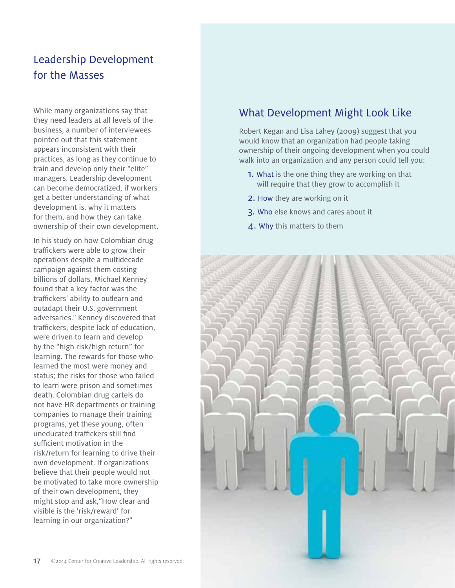### Leadership Development for the Masses

While many organizations say that they need leaders at all levels of the business, a number of interviewees pointed out that this statement appears inconsistent with their practices, as long as they continue to train and develop only their "elite" managers. Leadership development can become democratized, if workers get a better understanding of what development is, why it matters for them, and how they can take ownership of their own development.

In his study on how Colombian drug traffickers were able to grow their operations despite a multidecade campaign against them costing billions of dollars, Michael Kenney found that a key factor was the traffickers' ability to outlearn and outadapt their U.S. government adversaries.<sup>17</sup> Kenney discovered that traffickers, despite lack of education, were driven to learn and develop by the "high risk/high return" for learning. The rewards for those who learned the most were money and status; the risks for those who failed to learn were prison and sometimes death. Colombian drug cartels do not have HR departments or training companies to manage their training programs, yet these young, often uneducated traffickers still find sufficient motivation in the risk/return for learning to drive their own development. If organizations believe that their people would not be motivated to take more ownership of their own development, they might stop and ask,"How clear and visible is the 'risk/reward' for learning in our organization?"

#### What Development Might Look Like

Robert Kegan and Lisa Lahey (2009) suggest that you would know that an organization had people taking ownership of their ongoing development when you could walk into an organization and any person could tell you:

- 1. What is the one thing they are working on that will require that they grow to accomplish it
- 2. How they are working on it
- 3. Who else knows and cares about it
- 4. Why this matters to them

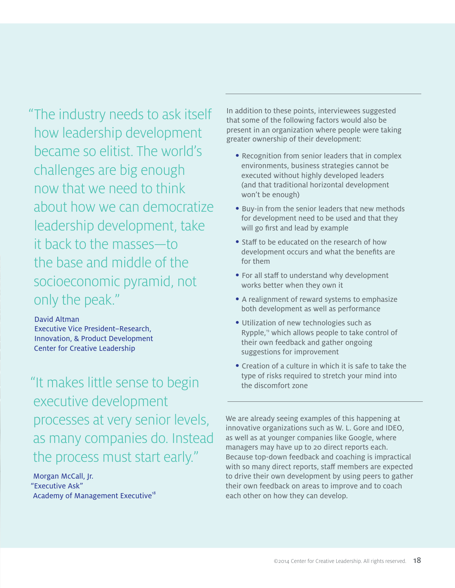"The industry needs to ask itself how leadership development became so elitist. The world's challenges are big enough now that we need to think about how we can democratize leadership development, take it back to the masses—to the base and middle of the socioeconomic pyramid, not only the peak."

#### David Altman

Executive Vice President–Research, Innovation, & Product Development Center for Creative Leadership

"It makes little sense to begin executive development processes at very senior levels, as many companies do. Instead the process must start early."

Morgan McCall, Jr. "Executive Ask" Academy of Management Executive<sup>18</sup> In addition to these points, interviewees suggested that some of the following factors would also be present in an organization where people were taking greater ownership of their development:

- Recognition from senior leaders that in complex environments, business strategies cannot be executed without highly developed leaders (and that traditional horizontal development won't be enough)
- Buy-in from the senior leaders that new methods for development need to be used and that they will go first and lead by example
- Staff to be educated on the research of how development occurs and what the benefits are for them
- For all staff to understand why development works better when they own it
- A realignment of reward systems to emphasize both development as well as performance
- Utilization of new technologies such as Rypple,<sup>19</sup> which allows people to take control of their own feedback and gather ongoing suggestions for improvement
- Creation of a culture in which it is safe to take the type of risks required to stretch your mind into the discomfort zone

We are already seeing examples of this happening at innovative organizations such as W. L. Gore and IDEO, as well as at younger companies like Google, where managers may have up to 20 direct reports each. Because top-down feedback and coaching is impractical with so many direct reports, staff members are expected to drive their own development by using peers to gather their own feedback on areas to improve and to coach each other on how they can develop.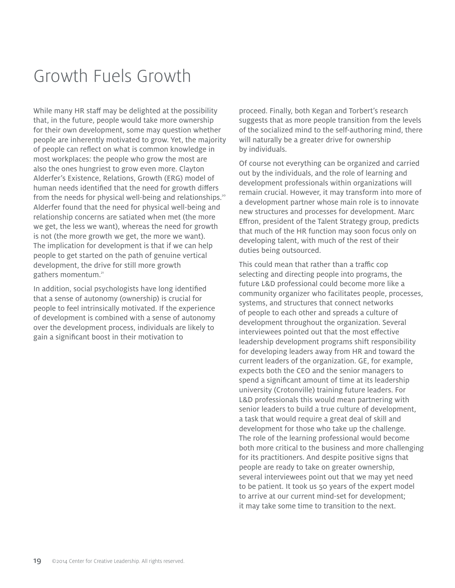## Growth Fuels Growth

While many HR staff may be delighted at the possibility that, in the future, people would take more ownership for their own development, some may question whether people are inherently motivated to grow. Yet, the majority of people can reflect on what is common knowledge in most workplaces: the people who grow the most are also the ones hungriest to grow even more. Clayton Alderfer's Existence, Relations, Growth (ERG) model of human needs identified that the need for growth differs from the needs for physical well-being and relationships.<sup>20</sup> Alderfer found that the need for physical well-being and relationship concerns are satiated when met (the more we get, the less we want), whereas the need for growth is not (the more growth we get, the more we want). The implication for development is that if we can help people to get started on the path of genuine vertical development, the drive for still more growth gathers momentum.<sup>21</sup>

In addition, social psychologists have long identified that a sense of autonomy (ownership) is crucial for people to feel intrinsically motivated. If the experience of development is combined with a sense of autonomy over the development process, individuals are likely to gain a significant boost in their motivation to

proceed. Finally, both Kegan and Torbert's research suggests that as more people transition from the levels of the socialized mind to the self-authoring mind, there will naturally be a greater drive for ownership by individuals.

Of course not everything can be organized and carried out by the individuals, and the role of learning and development professionals within organizations will remain crucial. However, it may transform into more of a development partner whose main role is to innovate new structures and processes for development. Marc Effron, president of the Talent Strategy group, predicts that much of the HR function may soon focus only on developing talent, with much of the rest of their duties being outsourced.

This could mean that rather than a traffic cop selecting and directing people into programs, the future L&D professional could become more like a community organizer who facilitates people, processes, systems, and structures that connect networks of people to each other and spreads a culture of development throughout the organization. Several interviewees pointed out that the most effective leadership development programs shift responsibility for developing leaders away from HR and toward the current leaders of the organization. GE, for example, expects both the CEO and the senior managers to spend a significant amount of time at its leadership university (Crotonville) training future leaders. For L&D professionals this would mean partnering with senior leaders to build a true culture of development, a task that would require a great deal of skill and development for those who take up the challenge. The role of the learning professional would become both more critical to the business and more challenging for its practitioners. And despite positive signs that people are ready to take on greater ownership, several interviewees point out that we may yet need to be patient. It took us 50 years of the expert model to arrive at our current mind-set for development; it may take some time to transition to the next.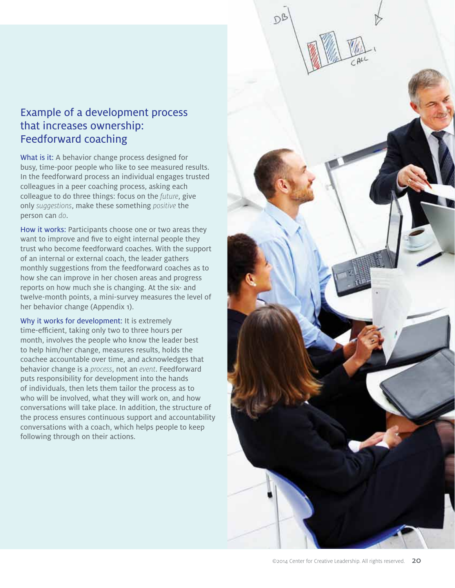### Example of a development process that increases ownership: Feedforward coaching

What is it: A behavior change process designed for busy, time-poor people who like to see measured results. In the feedforward process an individual engages trusted colleagues in a peer coaching process, asking each colleague to do three things: focus on the *future*, give only *suggestions*, make these something *positive* the person can *do*.

How it works: Participants choose one or two areas they want to improve and five to eight internal people they trust who become feedforward coaches. With the support of an internal or external coach, the leader gathers monthly suggestions from the feedforward coaches as to how she can improve in her chosen areas and progress reports on how much she is changing. At the six- and twelve-month points, a mini-survey measures the level of her behavior change (Appendix 1).

Why it works for development: It is extremely time-efficient, taking only two to three hours per month, involves the people who know the leader best to help him/her change, measures results, holds the coachee accountable over time, and acknowledges that behavior change is a *process*, not an *event*. Feedforward puts responsibility for development into the hands of individuals, then lets them tailor the process as to who will be involved, what they will work on, and how conversations will take place. In addition, the structure of the process ensures continuous support and accountability conversations with a coach, which helps people to keep following through on their actions.

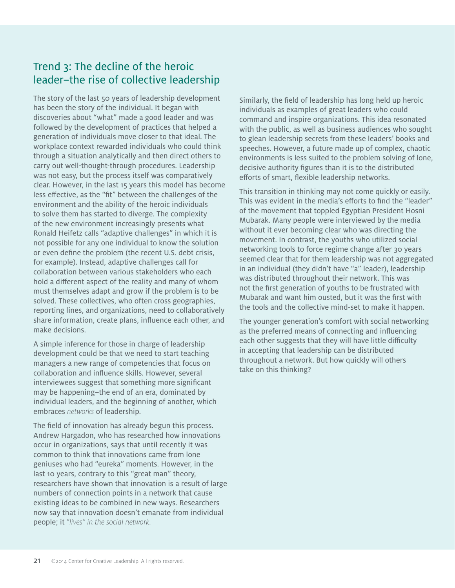### Trend 3: The decline of the heroic leader–the rise of collective leadership

The story of the last 50 years of leadership development has been the story of the individual. It began with discoveries about "what" made a good leader and was followed by the development of practices that helped a generation of individuals move closer to that ideal. The workplace context rewarded individuals who could think through a situation analytically and then direct others to carry out well-thought-through procedures. Leadership was not easy, but the process itself was comparatively clear. However, in the last 15 years this model has become less effective, as the "fit" between the challenges of the environment and the ability of the heroic individuals to solve them has started to diverge. The complexity of the new environment increasingly presents what Ronald Heifetz calls "adaptive challenges" in which it is not possible for any one individual to know the solution or even define the problem (the recent U.S. debt crisis, for example). Instead, adaptive challenges call for collaboration between various stakeholders who each hold a different aspect of the reality and many of whom must themselves adapt and grow if the problem is to be solved. These collectives, who often cross geographies, reporting lines, and organizations, need to collaboratively share information, create plans, influence each other, and make decisions.

A simple inference for those in charge of leadership development could be that we need to start teaching managers a new range of competencies that focus on collaboration and influence skills. However, several interviewees suggest that something more significant may be happening–the end of an era, dominated by individual leaders, and the beginning of another, which embraces *networks* of leadership.

The field of innovation has already begun this process. Andrew Hargadon, who has researched how innovations occur in organizations, says that until recently it was common to think that innovations came from lone geniuses who had "eureka" moments. However, in the last 10 years, contrary to this "great man" theory, researchers have shown that innovation is a result of large numbers of connection points in a network that cause existing ideas to be combined in new ways. Researchers now say that innovation doesn't emanate from individual people; it *"lives" in the social network.*

Similarly, the field of leadership has long held up heroic individuals as examples of great leaders who could command and inspire organizations. This idea resonated with the public, as well as business audiences who sought to glean leadership secrets from these leaders' books and speeches. However, a future made up of complex, chaotic environments is less suited to the problem solving of lone, decisive authority figures than it is to the distributed efforts of smart, flexible leadership networks.

This transition in thinking may not come quickly or easily. This was evident in the media's efforts to find the "leader" of the movement that toppled Egyptian President Hosni Mubarak. Many people were interviewed by the media without it ever becoming clear who was directing the movement. In contrast, the youths who utilized social networking tools to force regime change after 30 years seemed clear that for them leadership was not aggregated in an individual (they didn't have "a" leader), leadership was distributed throughout their network. This was not the first generation of youths to be frustrated with Mubarak and want him ousted, but it was the first with the tools and the collective mind-set to make it happen.

The younger generation's comfort with social networking as the preferred means of connecting and influencing each other suggests that they will have little difficulty in accepting that leadership can be distributed throughout a network. But how quickly will others take on this thinking?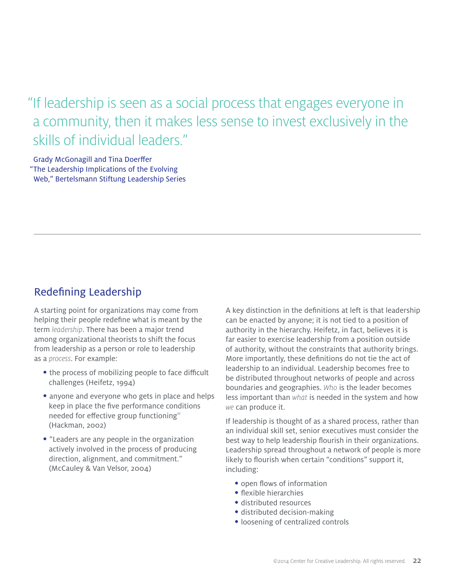### "If leadership is seen as a social process that engages everyone in a community, then it makes less sense to invest exclusively in the skills of individual leaders."

Grady McGonagill and Tina Doerffer "The Leadership Implications of the Evolving Web," Bertelsmann Stiftung Leadership Series

#### Redefining Leadership

A starting point for organizations may come from helping their people redefine what is meant by the term *leadership*. There has been a major trend among organizational theorists to shift the focus from leadership as a person or role to leadership as a *process*. For example:

- the process of mobilizing people to face difficult challenges (Heifetz, 1994)
- anyone and everyone who gets in place and helps keep in place the five performance conditions needed for effective group functioning $22$ (Hackman, 2002)
- "Leaders are any people in the organization actively involved in the process of producing direction, alignment, and commitment." (McCauley & Van Velsor, 2004)

A key distinction in the definitions at left is that leadership can be enacted by anyone; it is not tied to a position of authority in the hierarchy. Heifetz, in fact, believes it is far easier to exercise leadership from a position outside of authority, without the constraints that authority brings. More importantly, these definitions do not tie the act of leadership to an individual. Leadership becomes free to be distributed throughout networks of people and across boundaries and geographies. *Who* is the leader becomes less important than *what* is needed in the system and how *we* can produce it.

If leadership is thought of as a shared process, rather than an individual skill set, senior executives must consider the best way to help leadership flourish in their organizations. Leadership spread throughout a network of people is more likely to flourish when certain "conditions" support it, including:

- open flows of information
- flexible hierarchies
- distributed resources
- distributed decision-making
- loosening of centralized controls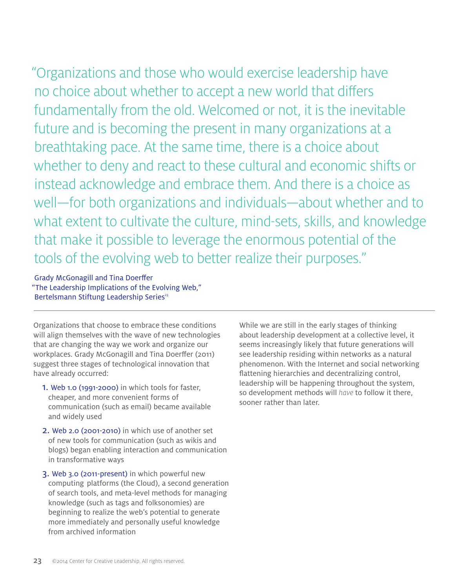"Organizations and those who would exercise leadership have no choice about whether to accept a new world that differs fundamentally from the old. Welcomed or not, it is the inevitable future and is becoming the present in many organizations at a breathtaking pace. At the same time, there is a choice about whether to deny and react to these cultural and economic shifts or instead acknowledge and embrace them. And there is a choice as well—for both organizations and individuals—about whether and to what extent to cultivate the culture, mind-sets, skills, and knowledge that make it possible to leverage the enormous potential of the tools of the evolving web to better realize their purposes."

Grady McGonagill and Tina Doerffer "The Leadership Implications of the Evolving Web," Bertelsmann Stiftung Leadership Series<sup>23</sup>

Organizations that choose to embrace these conditions will align themselves with the wave of new technologies that are changing the way we work and organize our workplaces. Grady McGonagill and Tina Doerffer (2011) suggest three stages of technological innovation that have already occurred:

- 1. Web 1.0 (1991-2000) in which tools for faster, cheaper, and more convenient forms of communication (such as email) became available and widely used
- 2. Web 2.0 (2001-2010) in which use of another set of new tools for communication (such as wikis and blogs) began enabling interaction and communication in transformative ways
- 3. Web 3.0 (2011-present) in which powerful new computing platforms (the Cloud), a second generation of search tools, and meta-level methods for managing knowledge (such as tags and folksonomies) are beginning to realize the web's potential to generate more immediately and personally useful knowledge from archived information

While we are still in the early stages of thinking about leadership development at a collective level, it seems increasingly likely that future generations will see leadership residing within networks as a natural phenomenon. With the Internet and social networking flattening hierarchies and decentralizing control, leadership will be happening throughout the system, so development methods will *have* to follow it there, sooner rather than later.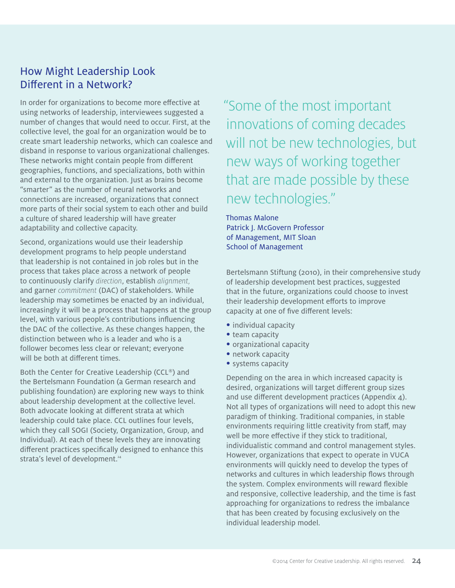### How Might Leadership Look Different in a Network?

In order for organizations to become more effective at using networks of leadership, interviewees suggested a number of changes that would need to occur. First, at the collective level, the goal for an organization would be to create smart leadership networks, which can coalesce and disband in response to various organizational challenges. These networks might contain people from different geographies, functions, and specializations, both within and external to the organization. Just as brains become "smarter" as the number of neural networks and connections are increased, organizations that connect more parts of their social system to each other and build a culture of shared leadership will have greater adaptability and collective capacity.

Second, organizations would use their leadership development programs to help people understand that leadership is not contained in job roles but in the process that takes place across a network of people to continuously clarify *direction*, establish *alignment,* and garner *commitment* (DAC) of stakeholders. While leadership may sometimes be enacted by an individual, increasingly it will be a process that happens at the group level, with various people's contributions influencing the DAC of the collective. As these changes happen, the distinction between who is a leader and who is a follower becomes less clear or relevant; everyone will be both at different times.

Both the Center for Creative Leadership (CCL®) and the Bertelsmann Foundation (a German research and publishing foundation) are exploring new ways to think about leadership development at the collective level. Both advocate looking at different strata at which leadership could take place. CCL outlines four levels, which they call SOGI (Society, Organization, Group, and Individual). At each of these levels they are innovating different practices specifically designed to enhance this strata's level of development.<sup>24</sup>

"Some of the most important innovations of coming decades will not be new technologies, but new ways of working together that are made possible by these new technologies."

Thomas Malone Patrick J. McGovern Professor of Management, MIT Sloan School of Management

Bertelsmann Stiftung (2010), in their comprehensive study of leadership development best practices, suggested that in the future, organizations could choose to invest their leadership development efforts to improve capacity at one of five different levels:

- individual capacity
- team capacity
- organizational capacity
- network capacity
- systems capacity

Depending on the area in which increased capacity is desired, organizations will target different group sizes and use different development practices (Appendix 4). Not all types of organizations will need to adopt this new paradigm of thinking. Traditional companies, in stable environments requiring little creativity from staff, may well be more effective if they stick to traditional, individualistic command and control management styles. However, organizations that expect to operate in VUCA environments will quickly need to develop the types of networks and cultures in which leadership flows through the system. Complex environments will reward flexible and responsive, collective leadership, and the time is fast approaching for organizations to redress the imbalance that has been created by focusing exclusively on the individual leadership model.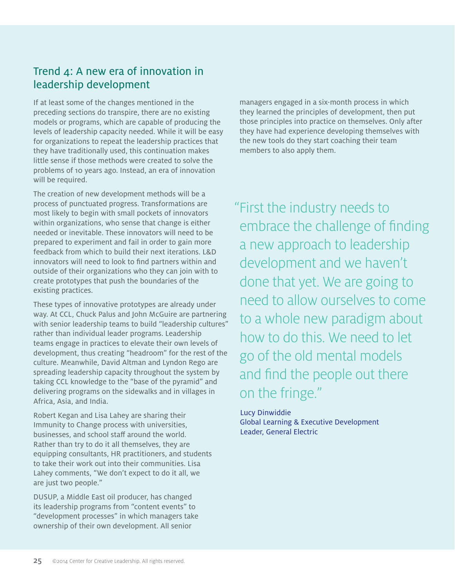### Trend 4: A new era of innovation in leadership development

If at least some of the changes mentioned in the preceding sections do transpire, there are no existing models or programs, which are capable of producing the levels of leadership capacity needed. While it will be easy for organizations to repeat the leadership practices that they have traditionally used, this continuation makes little sense if those methods were created to solve the problems of 10 years ago. Instead, an era of innovation will be required.

The creation of new development methods will be a process of punctuated progress. Transformations are most likely to begin with small pockets of innovators within organizations, who sense that change is either needed or inevitable. These innovators will need to be prepared to experiment and fail in order to gain more feedback from which to build their next iterations. L&D innovators will need to look to find partners within and outside of their organizations who they can join with to create prototypes that push the boundaries of the existing practices.

These types of innovative prototypes are already under way. At CCL, Chuck Palus and John McGuire are partnering with senior leadership teams to build "leadership cultures" rather than individual leader programs. Leadership teams engage in practices to elevate their own levels of development, thus creating "headroom" for the rest of the culture. Meanwhile, David Altman and Lyndon Rego are spreading leadership capacity throughout the system by taking CCL knowledge to the "base of the pyramid" and delivering programs on the sidewalks and in villages in Africa, Asia, and India.

Robert Kegan and Lisa Lahey are sharing their Immunity to Change process with universities, businesses, and school staff around the world. Rather than try to do it all themselves, they are equipping consultants, HR practitioners, and students to take their work out into their communities. Lisa Lahey comments, "We don't expect to do it all, we are just two people."

DUSUP, a Middle East oil producer, has changed its leadership programs from "content events" to "development processes" in which managers take ownership of their own development. All senior

managers engaged in a six-month process in which they learned the principles of development, then put those principles into practice on themselves. Only after they have had experience developing themselves with the new tools do they start coaching their team members to also apply them.

"First the industry needs to embrace the challenge of finding a new approach to leadership development and we haven't done that yet. We are going to need to allow ourselves to come to a whole new paradigm about how to do this. We need to let go of the old mental models and find the people out there on the fringe."

Lucy Dinwiddie Global Learning & Executive Development Leader, General Electric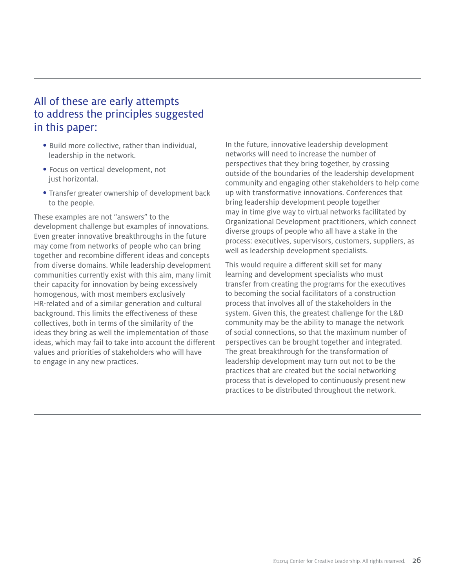#### All of these are early attempts to address the principles suggested in this paper:

- Build more collective, rather than individual, leadership in the network.
- Focus on vertical development, not just horizontal.
- Transfer greater ownership of development back to the people.

These examples are not "answers" to the development challenge but examples of innovations. Even greater innovative breakthroughs in the future may come from networks of people who can bring together and recombine different ideas and concepts from diverse domains. While leadership development communities currently exist with this aim, many limit their capacity for innovation by being excessively homogenous, with most members exclusively HR-related and of a similar generation and cultural background. This limits the effectiveness of these collectives, both in terms of the similarity of the ideas they bring as well the implementation of those ideas, which may fail to take into account the different values and priorities of stakeholders who will have to engage in any new practices.

In the future, innovative leadership development networks will need to increase the number of perspectives that they bring together, by crossing outside of the boundaries of the leadership development community and engaging other stakeholders to help come up with transformative innovations. Conferences that bring leadership development people together may in time give way to virtual networks facilitated by Organizational Development practitioners, which connect diverse groups of people who all have a stake in the process: executives, supervisors, customers, suppliers, as well as leadership development specialists.

This would require a different skill set for many learning and development specialists who must transfer from creating the programs for the executives to becoming the social facilitators of a construction process that involves all of the stakeholders in the system. Given this, the greatest challenge for the L&D community may be the ability to manage the network of social connections, so that the maximum number of perspectives can be brought together and integrated. The great breakthrough for the transformation of leadership development may turn out not to be the practices that are created but the social networking process that is developed to continuously present new practices to be distributed throughout the network.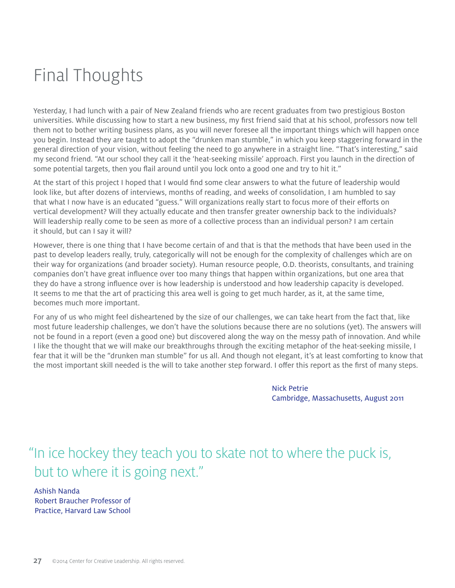# Final Thoughts

Yesterday, I had lunch with a pair of New Zealand friends who are recent graduates from two prestigious Boston universities. While discussing how to start a new business, my first friend said that at his school, professors now tell them not to bother writing business plans, as you will never foresee all the important things which will happen once you begin. Instead they are taught to adopt the "drunken man stumble," in which you keep staggering forward in the general direction of your vision, without feeling the need to go anywhere in a straight line. "That's interesting," said my second friend. "At our school they call it the 'heat-seeking missile' approach. First you launch in the direction of some potential targets, then you flail around until you lock onto a good one and try to hit it."

At the start of this project I hoped that I would find some clear answers to what the future of leadership would look like, but after dozens of interviews, months of reading, and weeks of consolidation, I am humbled to say that what I now have is an educated "guess." Will organizations really start to focus more of their efforts on vertical development? Will they actually educate and then transfer greater ownership back to the individuals? Will leadership really come to be seen as more of a collective process than an individual person? I am certain it should, but can I say it will?

However, there is one thing that I have become certain of and that is that the methods that have been used in the past to develop leaders really, truly, categorically will not be enough for the complexity of challenges which are on their way for organizations (and broader society). Human resource people, O.D. theorists, consultants, and training companies don't have great influence over too many things that happen within organizations, but one area that they do have a strong influence over is how leadership is understood and how leadership capacity is developed. It seems to me that the art of practicing this area well is going to get much harder, as it, at the same time, becomes much more important.

For any of us who might feel disheartened by the size of our challenges, we can take heart from the fact that, like most future leadership challenges, we don't have the solutions because there are no solutions (yet). The answers will not be found in a report (even a good one) but discovered along the way on the messy path of innovation. And while I like the thought that we will make our breakthroughs through the exciting metaphor of the heat-seeking missile, I fear that it will be the "drunken man stumble" for us all. And though not elegant, it's at least comforting to know that the most important skill needed is the will to take another step forward. I offer this report as the first of many steps.

> Nick Petrie Cambridge, Massachusetts, August 2011

"In ice hockey they teach you to skate not to where the puck is, but to where it is going next."

Ashish Nanda Robert Braucher Professor of Practice, Harvard Law School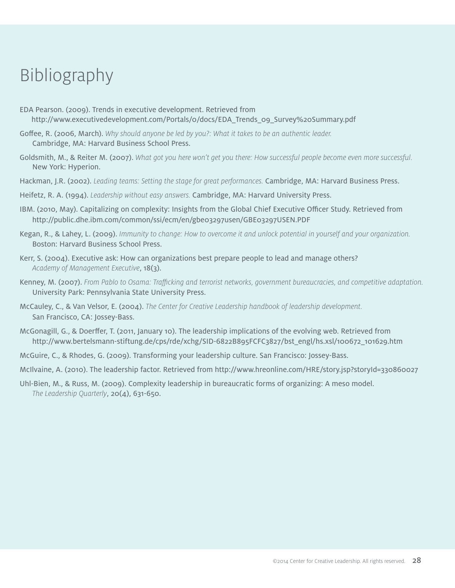# Bibliography

- EDA Pearson. (2009). Trends in executive development. Retrieved from http://www.executivedevelopment.com/Portals/0/docs/EDA\_Trends\_09\_Survey%20Summary.pdf
- Goffee, R. (2006, March). *Why should anyone be led by you?: What it takes to be an authentic leader.*  Cambridge, MA: Harvard Business School Press.
- Goldsmith, M., & Reiter M. (2007). *What got you here won't get you there: How successful people become even more successful.* New York: Hyperion.
- Hackman, J.R. (2002). *Leading teams: Setting the stage for great performances.* Cambridge, MA: Harvard Business Press.
- Heifetz, R. A. (1994). *Leadership without easy answers.* Cambridge, MA: Harvard University Press.
- IBM. (2010, May). Capitalizing on complexity: Insights from the Global Chief Executive Officer Study. Retrieved from http://public.dhe.ibm.com/common/ssi/ecm/en/gbe03297usen/GBE03297USEN.PDF
- Kegan, R., & Lahey, L. (2009). *Immunity to change: How to overcome it and unlock potential in yourself and your organization.* Boston: Harvard Business School Press.
- Kerr, S. (2004). Executive ask: How can organizations best prepare people to lead and manage others? *Academy of Management Executive*, 18(3).
- Kenney, M. (2007). *From Pablo to Osama: Trafficking and terrorist networks, government bureaucracies, and competitive adaptation.* University Park: Pennsylvania State University Press.
- McCauley, C., & Van Velsor, E. (2004). *The Center for Creative Leadership handbook of leadership development.* San Francisco, CA: Jossey-Bass.
- McGonagill, G., & Doerffer, T. (2011, January 10). The leadership implications of the evolving web. Retrieved from http://www.bertelsmann-stiftung.de/cps/rde/xchg/SID-6822B895FCFC3827/bst\_engl/hs.xsl/100672\_101629.htm
- McGuire, C., & Rhodes, G. (2009). Transforming your leadership culture. San Francisco: Jossey-Bass.
- McIlvaine, A. (2010). The leadership factor. Retrieved from http://www.hreonline.com/HRE/story.jsp?storyId=330860027
- Uhl-Bien, M., & Russ, M. (2009). Complexity leadership in bureaucratic forms of organizing: A meso model. *The Leadership Quarterly*, 20(4), 631-650.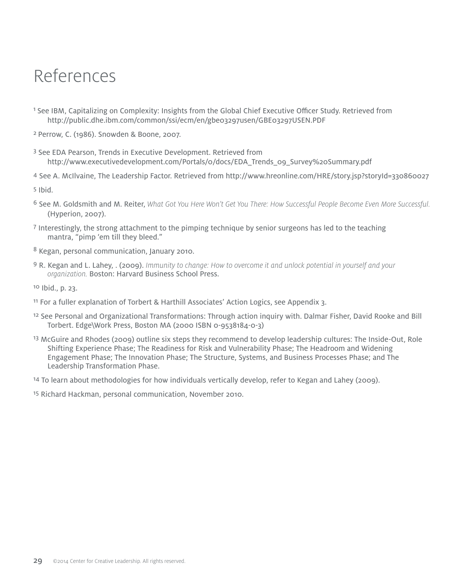## References

- 1 See IBM, Capitalizing on Complexity: Insights from the Global Chief Executive Officer Study. Retrieved from http://public.dhe.ibm.com/common/ssi/ecm/en/gbe03297usen/GBE03297USEN.PDF
- 2 Perrow, C. (1986). Snowden & Boone, 2007.
- 3 See EDA Pearson, Trends in Executive Development. Retrieved from http://www.executivedevelopment.com/Portals/0/docs/EDA\_Trends\_09\_Survey%20Summary.pdf
- 4 See A. McIlvaine, The Leadership Factor. Retrieved from http://www.hreonline.com/HRE/story.jsp?storyId=330860027

 $5$  Ibid.

- 6 See M. Goldsmith and M. Reiter, *What Got You Here Won't Get You There: How Successful People Become Even More Successful.* (Hyperion, 2007).
- 7 Interestingly, the strong attachment to the pimping technique by senior surgeons has led to the teaching mantra, "pimp 'em till they bleed."
- 8 Kegan, personal communication, January 2010.
- 9 R. Kegan and L. Lahey, . (2009). *Immunity to change: How to overcome it and unlock potential in yourself and your organization.* Boston: Harvard Business School Press.

10 Ibid., p. 23.

- 11 For a fuller explanation of Torbert & Harthill Associates' Action Logics, see Appendix 3.
- 12 See Personal and Organizational Transformations: Through action inquiry with. Dalmar Fisher, David Rooke and Bill Torbert. Edge\Work Press, Boston MA (2000 ISBN 0-9538184-0-3)
- <sup>13</sup> McGuire and Rhodes (2009) outline six steps they recommend to develop leadership cultures: The Inside-Out, Role Shifting Experience Phase; The Readiness for Risk and Vulnerability Phase; The Headroom and Widening Engagement Phase; The Innovation Phase; The Structure, Systems, and Business Processes Phase; and The Leadership Transformation Phase.
- 14 To learn about methodologies for how individuals vertically develop, refer to Kegan and Lahey (2009).

15 Richard Hackman, personal communication, November 2010.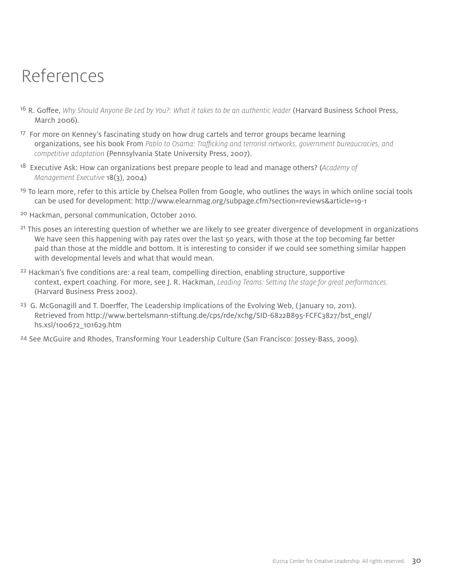# References

- 16 R. Goffee, *Why Should Anyone Be Led by You?: What it takes to be an authentic leader* (Harvard Business School Press, March 2006).
- 17 For more on Kenney's fascinating study on how drug cartels and terror groups became learning organizations, see his book From *Pablo to Osama: Trafficking and terrorist networks, government bureaucracies, and competitive adaptation* (Pennsylvania State University Press, 2007).
- 18 Executive Ask: How can organizations best prepare people to lead and manage others? (*Academy of Management Executive* 18(3), 2004)
- 19 To learn more, refer to this article by Chelsea Pollen from Google, who outlines the ways in which online social tools can be used for development: http://www.elearnmag.org/subpage.cfm?section=reviews&article=19-1
- 20 Hackman, personal communication, October 2010.
- <sup>21</sup> This poses an interesting question of whether we are likely to see greater divergence of development in organizations We have seen this happening with pay rates over the last 50 years, with those at the top becoming far better paid than those at the middle and bottom. It is interesting to consider if we could see something similar happen with developmental levels and what that would mean.
- <sup>22</sup> Hackman's five conditions are: a real team, compelling direction, enabling structure, supportive context, expert coaching. For more, see J. R. Hackman, *Leading Teams: Setting the stage for great performances.* (Harvard Business Press 2002).
- <sup>23</sup> G. McGonagill and T. Doerffer, The Leadership Implications of the Evolving Web, (January 10, 2011). Retrieved from http://www.bertelsmann-stiftung.de/cps/rde/xchg/SID-6822B895-FCFC3827/bst\_engl/ hs.xsl/100672\_101629.htm
- 24 See McGuire and Rhodes, Transforming Your Leadership Culture (San Francisco: Jossey-Bass, 2009).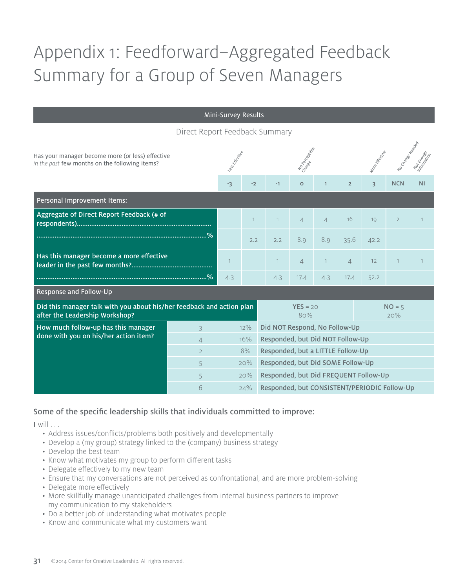# Appendix 1: Feedforward–Aggregated Feedback Summary for a Group of Seven Managers

| Mini-Survey Results                                                                                     |                |                 |                                      |                                                                                       |                   |                |                |                         |                 |                |
|---------------------------------------------------------------------------------------------------------|----------------|-----------------|--------------------------------------|---------------------------------------------------------------------------------------|-------------------|----------------|----------------|-------------------------|-----------------|----------------|
| Direct Report Feedback Summary                                                                          |                |                 |                                      |                                                                                       |                   |                |                |                         |                 |                |
| Has your manager become more (or less) effective<br>in the past few months on the following items?      |                | Legs River City |                                      |                                                                                       | No Perconsider    |                |                | Mone Keel City          | No Craze Needle | Mor. England   |
|                                                                                                         |                | $-3$            | $-2$                                 | $-1$                                                                                  | $\circ$           | $\mathbf{1}$   | $\overline{2}$ | $\overline{\mathbf{3}}$ | <b>NCN</b>      | N <sub>1</sub> |
| Personal Improvement Items:                                                                             |                |                 |                                      |                                                                                       |                   |                |                |                         |                 |                |
| Aggregate of Direct Report Feedback (# of                                                               |                |                 | $\mathbf{1}$                         | $\mathbf{1}$                                                                          | $\overline{4}$    | $\overline{4}$ | 16             | 19                      | $\overline{2}$  | $\mathbf{1}$   |
|                                                                                                         |                |                 | 2.2                                  | 2.2                                                                                   | 8.9               | 8.9            | 35.6           | 42.2                    |                 |                |
| Has this manager become a more effective                                                                |                | $\mathbf{1}$    |                                      | $\mathbf{1}$                                                                          | $\overline{4}$    | $\mathbf{1}$   | $\overline{4}$ | 12                      | 1               | 1              |
|                                                                                                         |                | 4.3             |                                      | 4.3                                                                                   | 17.4              | 4.3            | 17.4           | 52.2                    |                 |                |
| Response and Follow-Up                                                                                  |                |                 |                                      |                                                                                       |                   |                |                |                         |                 |                |
| Did this manager talk with you about his/her feedback and action plan<br>after the Leadership Workshop? |                |                 |                                      |                                                                                       | $YES = 20$<br>80% |                |                |                         | $NO = 5$<br>20% |                |
| How much follow-up has this manager                                                                     | 3              |                 | Did NOT Respond, No Follow-Up<br>12% |                                                                                       |                   |                |                |                         |                 |                |
| done with you on his/her action item?                                                                   | $\overline{4}$ |                 | 16%                                  | Responded, but Did NOT Follow-Up                                                      |                   |                |                |                         |                 |                |
|                                                                                                         | $\overline{2}$ |                 | 8%                                   | Responded, but a LITTLE Follow-Up                                                     |                   |                |                |                         |                 |                |
|                                                                                                         | 5              |                 | 20%                                  | Responded, but Did SOME Follow-Up                                                     |                   |                |                |                         |                 |                |
|                                                                                                         | 5              |                 | 20%                                  | Responded, but Did FREQUENT Follow-Up<br>Responded, but CONSISTENT/PERIODIC Follow-Up |                   |                |                |                         |                 |                |
|                                                                                                         | 6              |                 | 24%                                  |                                                                                       |                   |                |                |                         |                 |                |

#### Some of the specific leadership skills that individuals committed to improve:

 $I$  will  $\ldots$ 

- Address issues/conflicts/problems both positively and developmentally
- Develop a (my group) strategy linked to the (company) business strategy
- Develop the best team
- Know what motivates my group to perform different tasks
- Delegate effectively to my new team
- Ensure that my conversations are not perceived as confrontational, and are more problem-solving
- Delegate more effectively
- • More skillfully manage unanticipated challenges from internal business partners to improve my communication to my stakeholders
- Do a better job of understanding what motivates people
- Know and communicate what my customers want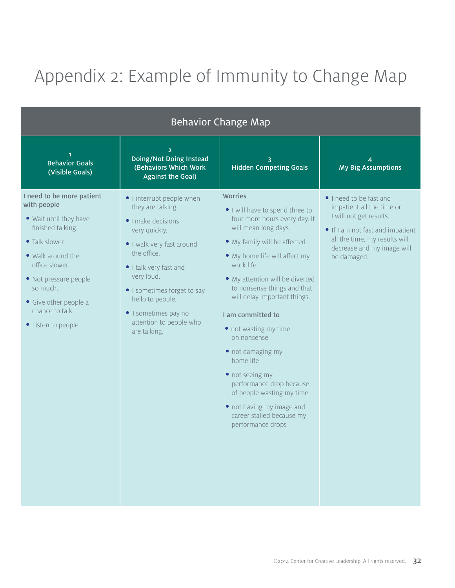# Appendix 2: Example of Immunity to Change Map

| <b>Behavior Change Map</b>                                                                                                                                                                                                                               |                                                                                                                                                                                                                                                                                                 |                                                                                                                                                                                                                                                                                                                                                                                                                                                                                                                                                 |                                                                                                                                                                                                   |  |  |  |  |
|----------------------------------------------------------------------------------------------------------------------------------------------------------------------------------------------------------------------------------------------------------|-------------------------------------------------------------------------------------------------------------------------------------------------------------------------------------------------------------------------------------------------------------------------------------------------|-------------------------------------------------------------------------------------------------------------------------------------------------------------------------------------------------------------------------------------------------------------------------------------------------------------------------------------------------------------------------------------------------------------------------------------------------------------------------------------------------------------------------------------------------|---------------------------------------------------------------------------------------------------------------------------------------------------------------------------------------------------|--|--|--|--|
| <b>Behavior Goals</b><br>(Visible Goals)                                                                                                                                                                                                                 | Doing/Not Doing Instead<br>(Behaviors Which Work<br><b>Against the Goal)</b>                                                                                                                                                                                                                    | <b>Hidden Competing Goals</b>                                                                                                                                                                                                                                                                                                                                                                                                                                                                                                                   | <b>My Big Assumptions</b>                                                                                                                                                                         |  |  |  |  |
| I need to be more patient<br>with people<br>• Wait until they have<br>finished talking.<br>• Talk slower.<br>• Walk around the<br>office slower.<br>· Not pressure people<br>so much.<br>• Give other people a<br>chance to talk.<br>• Listen to people. | • I interrupt people when<br>they are talking.<br>• I make decisions<br>very quickly.<br>· I walk very fast around<br>the office.<br>· I talk very fast and<br>very loud.<br>• I sometimes forget to say<br>hello to people.<br>• I sometimes pay no<br>attention to people who<br>are talking. | Worries<br>• I will have to spend three to<br>four more hours every day. It<br>will mean long days.<br>• My family will be affected.<br>• My home life will affect my<br>work life.<br>• My attention will be diverted<br>to nonsense things and that<br>will delay important things.<br>I am committed to<br>• not wasting my time<br>on nonsense<br>• not damaging my<br>home life<br>• not seeing my<br>performance drop because<br>of people wasting my time<br>• not having my image and<br>career stalled because my<br>performance drops | • I need to be fast and<br>impatient all the time or<br>I will not get results.<br>• If I am not fast and impatient<br>all the time, my results will<br>decrease and my image will<br>be damaged. |  |  |  |  |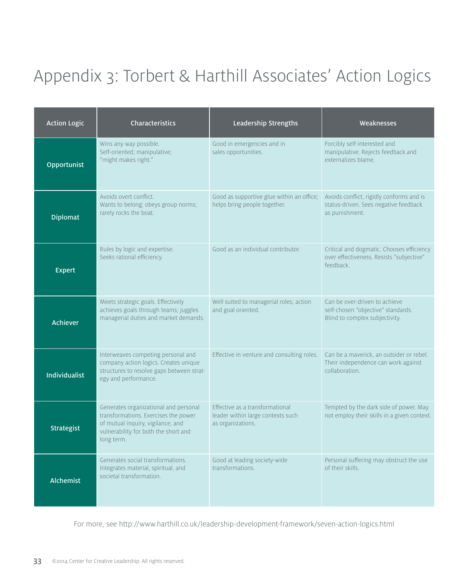# Appendix 3: Torbert & Harthill Associates' Action Logics

| <b>Action Logic</b> | Characteristics                                                                                                                                                          | Leadership Strengths                                                                      | Weaknesses                                                                                            |
|---------------------|--------------------------------------------------------------------------------------------------------------------------------------------------------------------------|-------------------------------------------------------------------------------------------|-------------------------------------------------------------------------------------------------------|
| Opportunist         | Wins any way possible.<br>Self-oriented; manipulative;<br>"might makes right."                                                                                           | Good in emergencies and in<br>sales opportunities.                                        | Forcibly self-interested and<br>manipulative. Rejects feedback and<br>externalizes blame.             |
| <b>Diplomat</b>     | Avoids overt conflict.<br>Wants to belong; obeys group norms;<br>rarely rocks the boat.                                                                                  | Good as supportive glue within an office;<br>helps bring people together.                 | Avoids conflict, rigidly conforms and is<br>status-driven. Sees negative feedback<br>as punishment.   |
| <b>Expert</b>       | Rules by logic and expertise.<br>Seeks rational efficiency.                                                                                                              | Good as an individual contributor.                                                        | Critical and dogmatic. Chooses efficiency<br>over effectiveness. Resists "subjective"<br>feedback.    |
| Achiever            | Meets strategic goals. Effectively<br>achieves goals through teams; juggles<br>managerial duties and market demands.                                                     | Well suited to managerial roles; action<br>and goal oriented.                             | Can be over-driven to achieve<br>self-chosen "objective" standards.<br>Blind to complex subjectivity. |
| Individualist       | Interweaves competing personal and<br>company action logics. Creates unique<br>structures to resolve gaps between strat-<br>egy and performance.                         | Effective in venture and consulting roles.                                                | Can be a maverick, an outsider or rebel.<br>Their independence can work against<br>collaboration.     |
| <b>Strategist</b>   | Generates organizational and personal<br>transformations. Exercises the power<br>of mutual inquiry, vigilance, and<br>vulnerability for both the short and<br>long term. | Effective as a transformational<br>leader within large contexts such<br>as organizations. | Tempted by the dark side of power. May<br>not employ their skills in a given context.                 |
| <b>Alchemist</b>    | Generates social transformations.<br>Integrates material, spiritual, and<br>societal transformation.                                                                     | Good at leading society-wide<br>transformations.                                          | Personal suffering may obstruct the use<br>of their skills.                                           |

For more, see http://www.harthill.co.uk/leadership-development-framework/seven-action-logics.html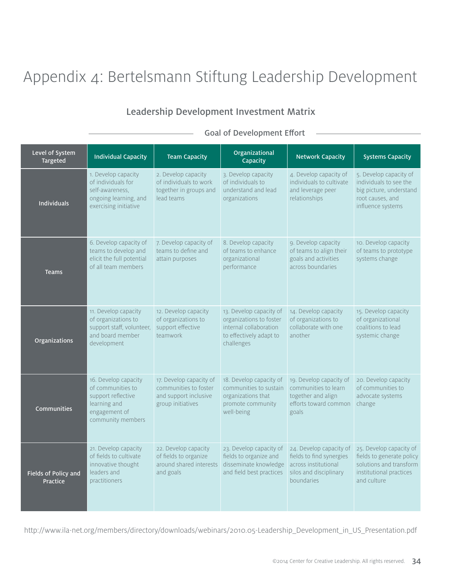### Appendix 4: Bertelsmann Stiftung Leadership Development

#### Leadership Development Investment Matrix

#### Goal of Development Effort

| Level of System<br><b>Targeted</b>      | <b>Individual Capacity</b>                                                                                            | <b>Team Capacity</b>                                                                           | Organizational<br>Capacity                                                                                            | <b>Network Capacity</b>                                                                                             | <b>Systems Capacity</b>                                                                                                   |
|-----------------------------------------|-----------------------------------------------------------------------------------------------------------------------|------------------------------------------------------------------------------------------------|-----------------------------------------------------------------------------------------------------------------------|---------------------------------------------------------------------------------------------------------------------|---------------------------------------------------------------------------------------------------------------------------|
| <b>Individuals</b>                      | 1. Develop capacity<br>of individuals for<br>self-awareness,<br>ongoing learning, and<br>exercising initiative        | 2. Develop capacity<br>of individuals to work<br>together in groups and<br>lead teams          | 3. Develop capacity<br>of individuals to<br>understand and lead<br>organizations                                      | 4. Develop capacity of<br>individuals to cultivate<br>and leverage peer<br>relationships                            | 5. Develop capacity of<br>individuals to see the<br>big picture, understand<br>root causes, and<br>influence systems      |
| <b>Teams</b>                            | 6. Develop capacity of<br>teams to develop and<br>elicit the full potential<br>of all team members                    | 7. Develop capacity of<br>teams to define and<br>attain purposes                               | 8. Develop capacity<br>of teams to enhance<br>organizational<br>performance                                           | 9. Develop capacity<br>of teams to align their<br>goals and activities<br>across boundaries                         | 10. Develop capacity<br>of teams to prototype<br>systems change                                                           |
| Organizations                           | 11. Develop capacity<br>of organizations to<br>support staff, volunteer,<br>and board member<br>development           | 12. Develop capacity<br>of organizations to<br>support effective<br>teamwork                   | 13. Develop capacity of<br>organizations to foster<br>internal collaboration<br>to effectively adapt to<br>challenges | 14. Develop capacity<br>of organizations to<br>collaborate with one<br>another                                      | 15. Develop capacity<br>of organizational<br>coalitions to lead<br>systemic change                                        |
| <b>Communities</b>                      | 16. Develop capacity<br>of communities to<br>support reflective<br>learning and<br>engagement of<br>community members | 17. Develop capacity of<br>communities to foster<br>and support inclusive<br>group initiatives | 18. Develop capacity of<br>communities to sustain<br>organizations that<br>promote community<br>well-being            | 19. Develop capacity of<br>communities to learn<br>together and align<br>efforts toward common<br>goals             | 20. Develop capacity<br>of communities to<br>advocate systems<br>change                                                   |
| Fields of Policy and<br><b>Practice</b> | 21. Develop capacity<br>of fields to cultivate<br>innovative thought<br>leaders and<br>practitioners                  | 22. Develop capacity<br>of fields to organize<br>around shared interests<br>and goals          | 23. Develop capacity of<br>fields to organize and<br>disseminate knowledge<br>and field best practices                | 24. Develop capacity of<br>fields to find synergies<br>across institutional<br>silos and disciplinary<br>boundaries | 25. Develop capacity of<br>fields to generate policy<br>solutions and transform<br>institutional practices<br>and culture |

http://www.ila-net.org/members/directory/downloads/webinars/2010.05-Leadership\_Development\_in\_US\_Presentation.pdf